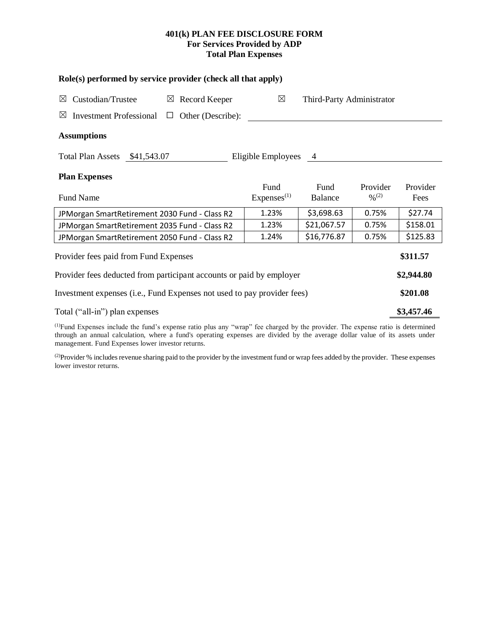# **401(k) PLAN FEE DISCLOSURE FORM For Services Provided by ADP Total Plan Expenses**

| Role(s) performed by service provider (check all that apply)                    |                                          |                        |                                          |                  |  |  |  |  |  |  |
|---------------------------------------------------------------------------------|------------------------------------------|------------------------|------------------------------------------|------------------|--|--|--|--|--|--|
| Custodian/Trustee<br>Record Keeper<br>$\boxtimes$<br>⊠                          | $\boxtimes$<br>Third-Party Administrator |                        |                                          |                  |  |  |  |  |  |  |
| <b>Investment Professional</b><br>Other (Describe):<br>$\boxtimes$<br>⊔         |                                          |                        |                                          |                  |  |  |  |  |  |  |
| <b>Assumptions</b>                                                              |                                          |                        |                                          |                  |  |  |  |  |  |  |
| <b>Total Plan Assets</b><br>Eligible Employees<br>\$41,543.07<br>$\overline{4}$ |                                          |                        |                                          |                  |  |  |  |  |  |  |
| <b>Plan Expenses</b>                                                            |                                          |                        |                                          |                  |  |  |  |  |  |  |
| <b>Fund Name</b>                                                                | Fund<br>Express <sup>(1)</sup>           | Fund<br><b>Balance</b> | Provider<br>$\frac{0}{2}$ <sup>(2)</sup> | Provider<br>Fees |  |  |  |  |  |  |
| JPMorgan SmartRetirement 2030 Fund - Class R2                                   | 1.23%                                    | \$3,698.63             | 0.75%                                    | \$27.74          |  |  |  |  |  |  |
| JPMorgan SmartRetirement 2035 Fund - Class R2                                   | 1.23%                                    | \$21,067.57            | 0.75%                                    | \$158.01         |  |  |  |  |  |  |
| JPMorgan SmartRetirement 2050 Fund - Class R2                                   | 1.24%                                    | \$16,776.87            | 0.75%                                    | \$125.83         |  |  |  |  |  |  |
| Provider fees paid from Fund Expenses                                           |                                          |                        |                                          |                  |  |  |  |  |  |  |
| Provider fees deducted from participant accounts or paid by employer            |                                          |                        |                                          |                  |  |  |  |  |  |  |
| Investment expenses (i.e., Fund Expenses not used to pay provider fees)         |                                          |                        |                                          |                  |  |  |  |  |  |  |
| Total ("all-in") plan expenses                                                  |                                          |                        |                                          |                  |  |  |  |  |  |  |

(1)Fund Expenses include the fund's expense ratio plus any "wrap" fee charged by the provider. The expense ratio is determined through an annual calculation, where a fund's operating expenses are divided by the average dollar value of its assets under management. Fund Expenses lower investor returns.

<sup>(2)</sup>Provider % includes revenue sharing paid to the provider by the investment fund or wrap fees added by the provider. These expenses lower investor returns.